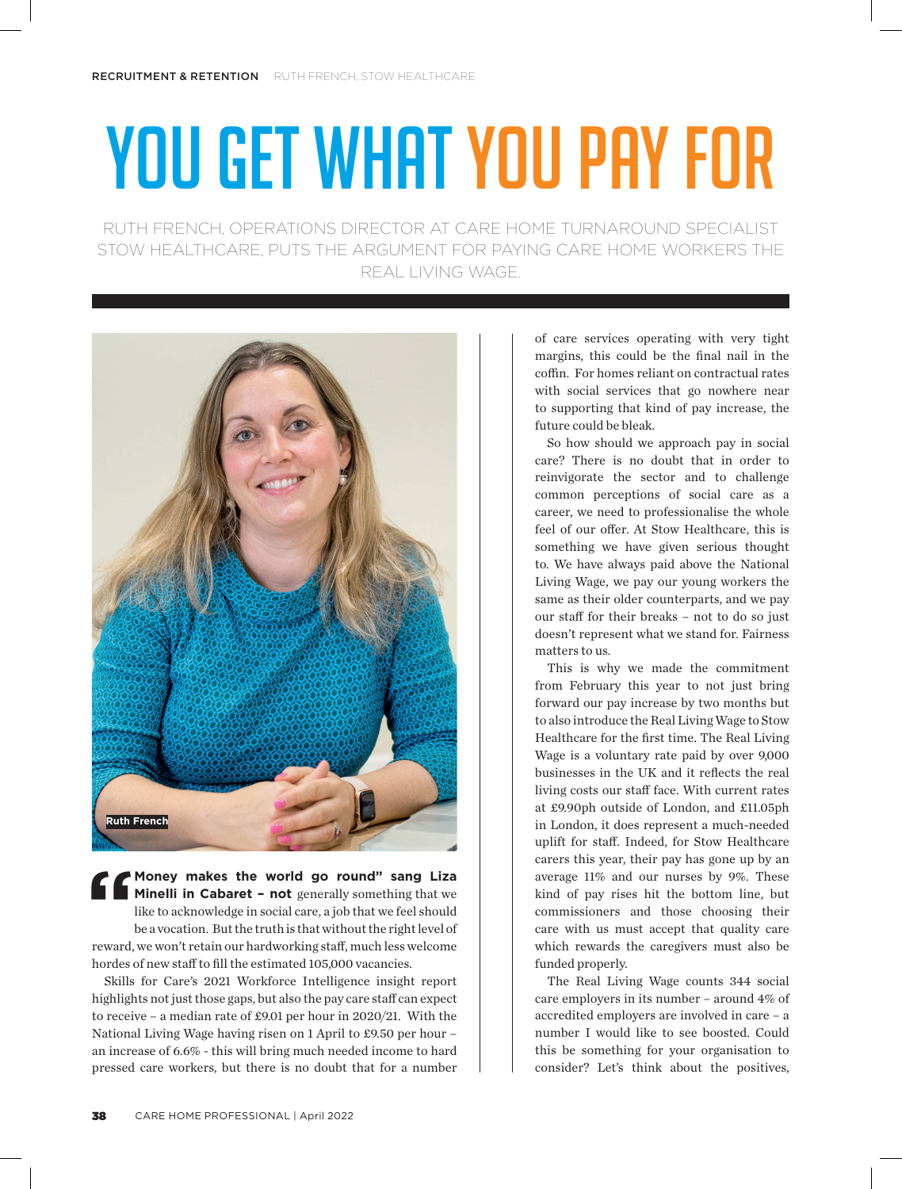## YOU GET WHAT YOU PAY FOR

RUTH FRENCH, OPERATIONS DIRECTOR AT CARE HOME TURNAROUND SPECIALIST STOW HEALTHCARE, PUTS THE ARGUMENT FOR PAYING CARE HOME WORKERS THE REAL LIVING WAGE.



**1999 Money makes the world go round" sang Liza Minelli in Cabaret - not generally something that we like to acknowledge in social care, a job that we feel should be a vocation. But the truth is that without the right leve Money makes the world go round" sang Liza Minelli in Cabaret – not** generally something that we like to acknowledge in social care, a job that we feel should be a vocation. But the truth is that without the right level of hordes of new staff to fill the estimated 105,000 vacancies.

Skills for Care's 2021 Workforce Intelligence insight report highlights not just those gaps, but also the pay care staff can expect to receive – a median rate of £9.01 per hour in 2020/21. With the National Living Wage having risen on 1 April to £9.50 per hour – an increase of 6.6% - this will bring much needed income to hard pressed care workers, but there is no doubt that for a number of care services operating with very tight margins, this could be the final nail in the coffin. For homes reliant on contractual rates with social services that go nowhere near to supporting that kind of pay increase, the future could be bleak.

So how should we approach pay in social care? There is no doubt that in order to reinvigorate the sector and to challenge common perceptions of social care as a career, we need to professionalise the whole feel of our offer. At Stow Healthcare, this is something we have given serious thought to. We have always paid above the National Living Wage, we pay our young workers the same as their older counterparts, and we pay our staff for their breaks – not to do so just doesn't represent what we stand for. Fairness matters to us.

This is why we made the commitment from February this year to not just bring forward our pay increase by two months but to also introduce the Real Living Wage to Stow Healthcare for the first time. The Real Living Wage is a voluntary rate paid by over 9,000 businesses in the UK and it reflects the real living costs our staff face. With current rates at £9.90ph outside of London, and £11.05ph in London, it does represent a much-needed uplift for staff. Indeed, for Stow Healthcare carers this year, their pay has gone up by an average 11% and our nurses by 9%. These kind of pay rises hit the bottom line, but commissioners and those choosing their care with us must accept that quality care which rewards the caregivers must also be funded properly.

The Real Living Wage counts 344 social care employers in its number – around 4% of accredited employers are involved in care – a number I would like to see boosted. Could this be something for your organisation to consider? Let's think about the positives,